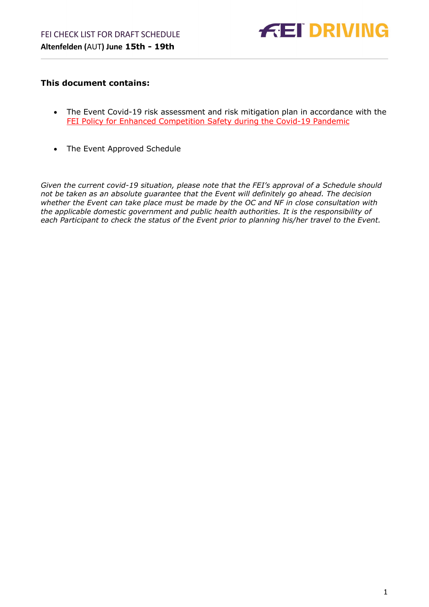

## <span id="page-0-0"></span>**This document contains:**

- The Event Covid-19 risk assessment and risk mitigation plan in accordance with the FEI Policy for Enhanced Competition Safety during the Covid-19 Pandemic
- The Event Approved Schedule

*Given the current covid-19 situation, please note that the FEI's approval of a Schedule should not be taken as an absolute guarantee that the Event will definitely go ahead. The decision whether the Event can take place must be made by the OC and NF in close consultation with the applicable domestic government and public health authorities. It is the responsibility of each Participant to check the status of the Event prior to planning his/her travel to the Event.*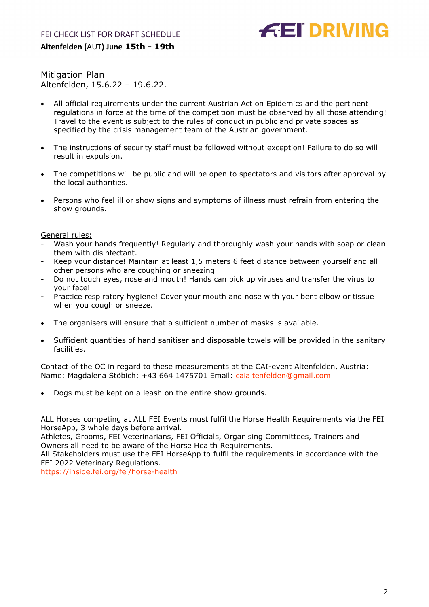

Mitigation Plan Altenfelden, 15.6.22 – 19.6.22.

- All official requirements under the current Austrian Act on Epidemics and the pertinent regulations in force at the time of the competition must be observed by all those attending! Travel to the event is subject to the rules of conduct in public and private spaces as specified by the crisis management team of the Austrian government.
- The instructions of security staff must be followed without exception! Failure to do so will result in expulsion.
- The competitions will be public and will be open to spectators and visitors after approval by the local authorities.
- Persons who feel ill or show signs and symptoms of illness must refrain from entering the show grounds.

General rules:

- Wash your hands frequently! Regularly and thoroughly wash your hands with soap or clean them with disinfectant.
- Keep your distance! Maintain at least 1,5 meters 6 feet distance between yourself and all other persons who are coughing or sneezing
- Do not touch eyes, nose and mouth! Hands can pick up viruses and transfer the virus to your face!
- Practice respiratory hygiene! Cover your mouth and nose with your bent elbow or tissue when you cough or sneeze.
- The organisers will ensure that a sufficient number of masks is available.
- Sufficient quantities of hand sanitiser and disposable towels will be provided in the sanitary facilities.

Contact of the OC in regard to these measurements at the CAI-event Altenfelden, Austria: Name: Magdalena Stöbich: +43 664 1475701 Email: [caialtenfelden@gmail.com](mailto:caialtenfelden@gmail.com)

• Dogs must be kept on a leash on the entire show grounds.

ALL Horses competing at ALL FEI Events must fulfil the Horse Health Requirements via the FEI HorseApp, 3 whole days before arrival.

Athletes, Grooms, FEI Veterinarians, FEI Officials, Organising Committees, Trainers and Owners all need to be aware of the Horse Health Requirements.

All Stakeholders must use the FEI HorseApp to fulfil the requirements in accordance with the FEI 2022 Veterinary Regulations.

<https://inside.fei.org/fei/horse-health>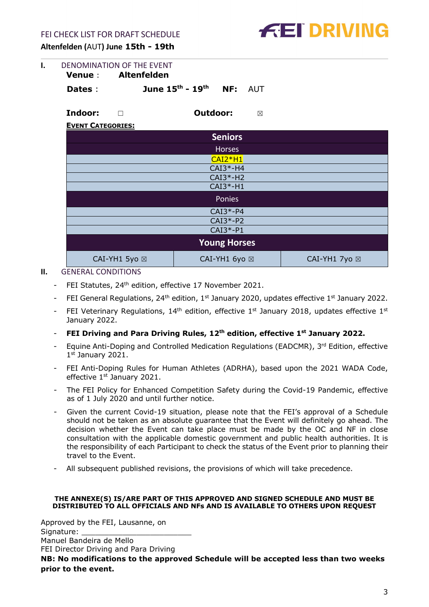

| DENOMINATION OF THE EVENT |  |                     |  |                                                                 |
|---------------------------|--|---------------------|--|-----------------------------------------------------------------|
|                           |  |                     |  |                                                                 |
| Dates :                   |  |                     |  |                                                                 |
|                           |  | Venue : Altenfelden |  | <b>June <math>15^{th}</math> - <math>19^{th}</math> NF: AUT</b> |

**Indoor:** ☐ **Outdoor:** ☒

**EVENT CATEGORIES:**

|               | <b>Seniors</b>      |               |  |  |  |
|---------------|---------------------|---------------|--|--|--|
|               | <b>Horses</b>       |               |  |  |  |
|               | $CAI2*H1$           |               |  |  |  |
|               | $CAI3*-H4$          |               |  |  |  |
|               | $CAI3*-H2$          |               |  |  |  |
| $CAI3*-H1$    |                     |               |  |  |  |
| Ponies        |                     |               |  |  |  |
| $CAI3*-P4$    |                     |               |  |  |  |
| $CAI3*-P2$    |                     |               |  |  |  |
| $CAI3*-P1$    |                     |               |  |  |  |
|               | <b>Young Horses</b> |               |  |  |  |
| CAI-YH1 5yo ⊠ | CAI-YH1 6yo ⊠       | CAI-YH1 7yo ⊠ |  |  |  |

- <span id="page-2-0"></span>**II.** GENERAL CONDITIONS
	- FEI Statutes, 24<sup>th</sup> edition, effective 17 November 2021.
	- FEI General Regulations,  $24<sup>th</sup>$  edition,  $1<sup>st</sup>$  January 2020, updates effective  $1<sup>st</sup>$  January 2022.
	- FEI Veterinary Regulations,  $14<sup>th</sup>$  edition, effective  $1<sup>st</sup>$  January 2018, updates effective  $1<sup>st</sup>$ January 2022.
	- **FEI Driving and Para Driving Rules, 12th edition, effective 1st January 2022.**
	- Equine Anti-Doping and Controlled Medication Regulations (EADCMR), 3rd Edition, effective 1st January 2021.
	- FEI Anti-Doping Rules for Human Athletes (ADRHA), based upon the 2021 WADA Code, effective 1st January 2021.
	- The FEI Policy for Enhanced Competition Safety during the Covid-19 Pandemic, effective as of 1 July 2020 and until further notice.
	- Given the current Covid-19 situation, please note that the FEI's approval of a Schedule should not be taken as an absolute guarantee that the Event will definitely go ahead. The decision whether the Event can take place must be made by the OC and NF in close consultation with the applicable domestic government and public health authorities. It is the responsibility of each Participant to check the status of the Event prior to planning their travel to the Event.
	- All subsequent published revisions, the provisions of which will take precedence.

#### **THE ANNEXE(S) IS/ARE PART OF THIS APPROVED AND SIGNED SCHEDULE AND MUST BE DISTRIBUTED TO ALL OFFICIALS AND NFs AND IS AVAILABLE TO OTHERS UPON REQUEST**

Approved by the FEI, Lausanne, on Signature: Manuel Bandeira de Mello FEI Director Driving and Para Driving **NB: No modifications to the approved Schedule will be accepted less than two weeks prior to the event.**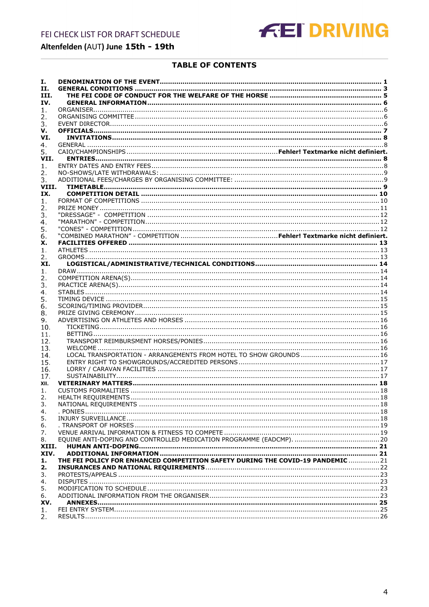

## **TABLE OF CONTENTS**

| Ι.        |                                                                                |  |
|-----------|--------------------------------------------------------------------------------|--|
| П.        |                                                                                |  |
| III.      |                                                                                |  |
| IV.       |                                                                                |  |
| 1.        |                                                                                |  |
| 2.        |                                                                                |  |
| 3.        |                                                                                |  |
| v.        |                                                                                |  |
| VI.       |                                                                                |  |
| 4.        |                                                                                |  |
| 5.        |                                                                                |  |
| VII.      |                                                                                |  |
| 1.        |                                                                                |  |
| 2.        |                                                                                |  |
| 3.        |                                                                                |  |
| VIII.     |                                                                                |  |
| IX.       |                                                                                |  |
| 1.        |                                                                                |  |
| 2.        |                                                                                |  |
| 3.        |                                                                                |  |
| 4.        |                                                                                |  |
| 5.        |                                                                                |  |
| 6.        |                                                                                |  |
| х.        |                                                                                |  |
| 1.        |                                                                                |  |
| 2.        |                                                                                |  |
| XI.       |                                                                                |  |
| 1.        |                                                                                |  |
| 2.        |                                                                                |  |
| 3.        |                                                                                |  |
| 4.        |                                                                                |  |
| 5.        |                                                                                |  |
| 6.        |                                                                                |  |
| 8.        |                                                                                |  |
| 9.<br>10. |                                                                                |  |
| 11.       |                                                                                |  |
| 12.       |                                                                                |  |
| 13.       |                                                                                |  |
| 14.       |                                                                                |  |
| 15.       |                                                                                |  |
| 16.       |                                                                                |  |
| 17.       |                                                                                |  |
| XII.      |                                                                                |  |
| 1.        |                                                                                |  |
| 2.        |                                                                                |  |
| 3.        |                                                                                |  |
| 4.        |                                                                                |  |
| 5.        |                                                                                |  |
| 6.        |                                                                                |  |
| 7.        |                                                                                |  |
| 8.        |                                                                                |  |
| XIII.     |                                                                                |  |
| XIV.      |                                                                                |  |
| 1.        | THE FEI POLICY FOR ENHANCED COMPETITION SAFETY DURING THE COVID-19 PANDEMIC 21 |  |
| 2.        |                                                                                |  |
| 3.        |                                                                                |  |
| 4.        |                                                                                |  |
| 5.        |                                                                                |  |
| 6.        |                                                                                |  |
| XV.       |                                                                                |  |
| 1.        |                                                                                |  |
| 2.        |                                                                                |  |
|           |                                                                                |  |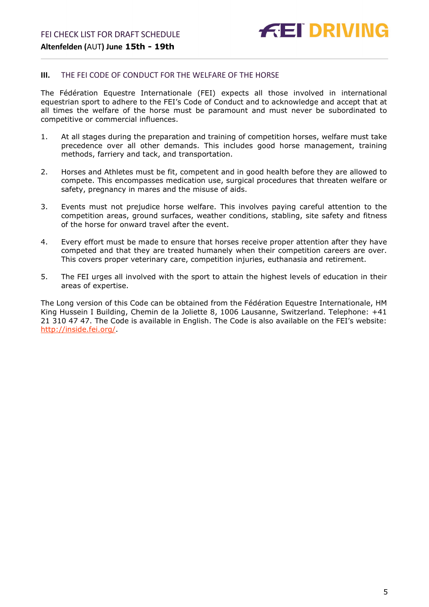#### <span id="page-4-0"></span>**III.** THE FEI CODE OF CONDUCT FOR THE WELFARE OF THE HORSE

The Fédération Equestre Internationale (FEI) expects all those involved in international equestrian sport to adhere to the FEI's Code of Conduct and to acknowledge and accept that at all times the welfare of the horse must be paramount and must never be subordinated to competitive or commercial influences.

- 1. At all stages during the preparation and training of competition horses, welfare must take precedence over all other demands. This includes good horse management, training methods, farriery and tack, and transportation.
- 2. Horses and Athletes must be fit, competent and in good health before they are allowed to compete. This encompasses medication use, surgical procedures that threaten welfare or safety, pregnancy in mares and the misuse of aids.
- 3. Events must not prejudice horse welfare. This involves paying careful attention to the competition areas, ground surfaces, weather conditions, stabling, site safety and fitness of the horse for onward travel after the event.
- 4. Every effort must be made to ensure that horses receive proper attention after they have competed and that they are treated humanely when their competition careers are over. This covers proper veterinary care, competition injuries, euthanasia and retirement.
- 5. The FEI urges all involved with the sport to attain the highest levels of education in their areas of expertise.

The Long version of this Code can be obtained from the Fédération Equestre Internationale, HM King Hussein I Building, Chemin de la Joliette 8, 1006 Lausanne, Switzerland. Telephone: +41 21 310 47 47. The Code is available in English. The Code is also available on the FEI's website: [http://inside.fei.org/.](http://inside.fei.org/)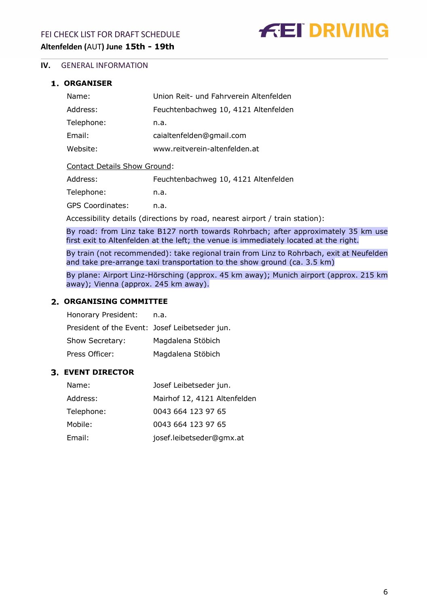**FEI DRIVING** 

### <span id="page-5-0"></span>**IV.** GENERAL INFORMATION

#### <span id="page-5-1"></span>**ORGANISER**

| Name:      | Union Reit- und Fahrverein Altenfelden |
|------------|----------------------------------------|
| Address:   | Feuchtenbachweg 10, 4121 Altenfelden   |
| Telephone: | n.a.                                   |
| Email:     | caialtenfelden@gmail.com               |
| Website:   | www.reitverein-altenfelden.at          |
|            |                                        |

#### Contact Details Show Ground:

| Address:                | Feuchtenbachweg 10, 4121 Altenfelden |
|-------------------------|--------------------------------------|
| Telephone:              | n.a.                                 |
| <b>GPS Coordinates:</b> | n.a.                                 |

Accessibility details (directions by road, nearest airport / train station):

By road: from Linz take B127 north towards Rohrbach; after approximately 35 km use first exit to Altenfelden at the left; the venue is immediately located at the right.

By train (not recommended): take regional train from Linz to Rohrbach, exit at Neufelden and take pre-arrange taxi transportation to the show ground (ca. 3.5 km)

By plane: Airport Linz-Hörsching (approx. 45 km away); Munich airport (approx. 215 km away); Vienna (approx. 245 km away).

#### <span id="page-5-2"></span>**ORGANISING COMMITTEE**

| Honorary President:                            | n.a.              |
|------------------------------------------------|-------------------|
| President of the Event: Josef Leibetseder jun. |                   |
| Show Secretary:                                | Magdalena Stöbich |
| Press Officer:                                 | Magdalena Stöbich |

#### <span id="page-5-3"></span>**EVENT DIRECTOR**

| Name:      | Josef Leibetseder jun.       |
|------------|------------------------------|
| Address:   | Mairhof 12, 4121 Altenfelden |
| Telephone: | 0043 664 123 97 65           |
| Mobile:    | 0043 664 123 97 65           |
| Email:     | josef.leibetseder@gmx.at     |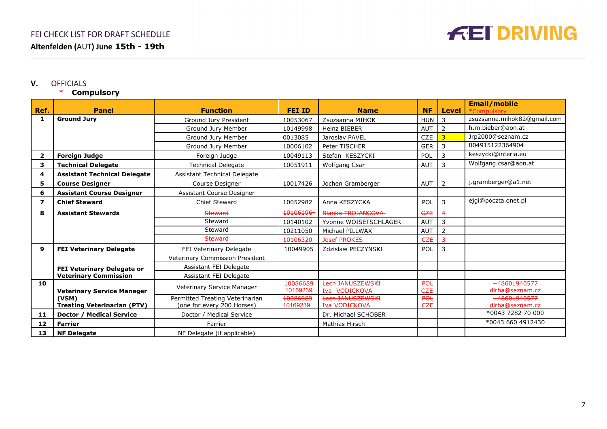

#### **V.** OFFICIALS

## \* **Compulsory**

<span id="page-6-0"></span>

|                         |                                             |                                                               |                      |                                   |                   |                | <b>Email/mobile</b>             |
|-------------------------|---------------------------------------------|---------------------------------------------------------------|----------------------|-----------------------------------|-------------------|----------------|---------------------------------|
| Ref.                    | <b>Panel</b>                                | <b>Function</b>                                               | <b>FEI ID</b>        | <b>Name</b>                       | <b>NF</b>         | <b>Level</b>   | *Compulsory                     |
| 1                       | <b>Ground Jury</b>                          | Ground Jury President                                         | 10053067             | Zsuzsanna MIHOK                   | <b>HUN</b>        | 3              | zsuzsanna.mihok82@gmail.com     |
|                         |                                             | Ground Jury Member                                            | 10149998             | <b>Heinz BIEBER</b>               | <b>AUT</b>        | $\overline{2}$ | h.m.bieber@aon.at               |
|                         |                                             | Ground Jury Member                                            | 0013085              | Jaroslav PAVEL                    | <b>CZE</b>        | 3              | Jrp2000@seznam.cz               |
|                         |                                             | Ground Jury Member                                            | 10006102             | Peter TISCHER                     | <b>GER</b>        | 3              | 004915122364904                 |
| $\overline{\mathbf{2}}$ | <b>Foreign Judge</b>                        | Foreign Judge                                                 | 10049113             | Stefan KESZYCKI                   | POL               | 3              | keszycki@interia.eu             |
| з                       | <b>Technical Delegate</b>                   | <b>Technical Delegate</b>                                     | 10051911             | Wolfgang Csar                     | <b>AUT</b>        | 3              | Wolfgang.csar@aon.at            |
| 4                       | <b>Assistant Technical Delegate</b>         | Assistant Technical Delegate                                  |                      |                                   |                   |                |                                 |
| 5                       | <b>Course Designer</b>                      | Course Designer                                               | 10017426             | Jochen Gramberger                 | <b>AUT</b>        | $\overline{2}$ | j.gramberger@a1.net             |
| 6                       | <b>Assistant Course Designer</b>            | <b>Assistant Course Designer</b>                              |                      |                                   |                   |                |                                 |
| 7                       | <b>Chief Steward</b>                        | Chief Steward                                                 | 10052982             | Anna KESZYCKA                     | <b>POL</b>        | 3              | ejgi@poczta.onet.pl             |
| 8                       | <b>Assistant Stewards</b>                   | <b>Steward</b>                                                | 10106196-            | <b>Blanka TROJANCOVA</b>          | <b>CZE</b>        | 4              |                                 |
|                         |                                             | Steward                                                       | 10140102             | Yvonne WOISETSCHLÄGER             | <b>AUT</b>        | 3              |                                 |
|                         |                                             | Steward                                                       | 10211050             | Michael PILLWAX                   | <b>AUT</b>        | $\overline{2}$ |                                 |
|                         |                                             | <b>Steward</b>                                                | 10106320             | <b>Josef PROKES</b>               | <b>CZE</b>        | 3              |                                 |
| 9                       | <b>FEI Veterinary Delegate</b>              | FEI Veterinary Delegate                                       | 10049905             | Zdzislaw PECZYNSKI                | POL               | 3              |                                 |
|                         |                                             | Veterinary Commission President                               |                      |                                   |                   |                |                                 |
|                         | FEI Veterinary Delegate or                  | Assistant FEI Delegate                                        |                      |                                   |                   |                |                                 |
|                         | <b>Veterinary Commission</b>                | Assistant FEI Delegate                                        |                      |                                   |                   |                |                                 |
| 10                      |                                             | Veterinary Service Manager                                    | 10086689             | Lech JANUSZEWSKI                  | <b>POL</b>        |                | +48601940577                    |
|                         | <b>Veterinary Service Manager</b>           |                                                               | 10169239             | Iva VODICKOVA                     | <b>CZE</b>        |                | dirha@seznam.cz                 |
|                         | (VSM)<br><b>Treating Veterinarian (PTV)</b> | Permitted Treating Veterinarian<br>(one for every 200 Horses) | 10086689<br>10169239 | Lech JANUSZEWSKI<br>Iva VODICKOVA | POL<br><b>CZE</b> |                | +48601940577<br>dirha@seznam.cz |
|                         |                                             |                                                               |                      |                                   |                   |                | *0043 7282 70 000               |
| 11                      | Doctor / Medical Service                    | Doctor / Medical Service                                      |                      | Dr. Michael SCHOBER               |                   |                | *0043 660 4912430               |
| 12                      | <b>Farrier</b>                              | Farrier                                                       |                      | Mathias Hirsch                    |                   |                |                                 |
| 13                      | <b>NF Delegate</b>                          | NF Delegate (if applicable)                                   |                      |                                   |                   |                |                                 |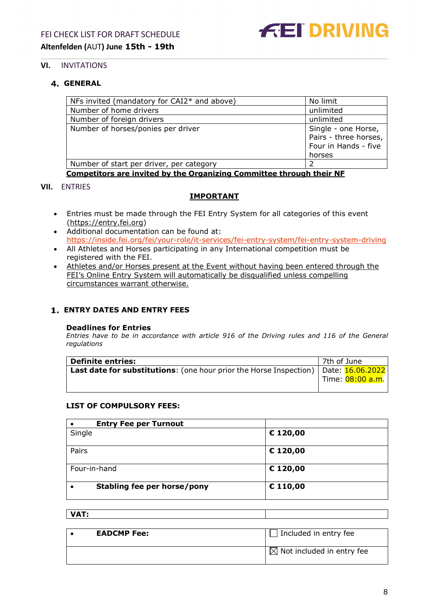

## <span id="page-7-0"></span>**VI.** INVITATIONS

## <span id="page-7-1"></span>**GENERAL**

| NFs invited (mandatory for CAI2* and above) | No limit              |
|---------------------------------------------|-----------------------|
| Number of home drivers                      | unlimited             |
| Number of foreign drivers                   | unlimited             |
| Number of horses/ponies per driver          | Single - one Horse,   |
|                                             | Pairs - three horses, |
|                                             | Four in Hands - five  |
|                                             | horses                |
| Number of start per driver, per category    |                       |
|                                             |                       |

**Competitors are invited by the Organizing Committee through their NF**

#### <span id="page-7-2"></span>**VII.** ENTRIES

## **IMPORTANT**

- Entries must be made through the FEI Entry System for all categories of this event [\(https://entry.fei.org\)](https://entry.fei.org/)
- Additional documentation can be found at: https://inside.fei.org/fei/your-role/it-services/fei-entry-system/fei-entry-system-driving
- All Athletes and Horses participating in any International competition must be registered with the FEI.
- Athletes and/or Horses present at the Event without having been entered through the FEI's Online Entry System will automatically be disqualified unless compelling circumstances warrant otherwise.

## <span id="page-7-3"></span>**ENTRY DATES AND ENTRY FEES**

#### **Deadlines for Entries**

*Entries have to be in accordance with article 916 of the Driving rules and 116 of the General regulations*

| <b>Definite entries:</b>                                                              | 7th of June |                  |
|---------------------------------------------------------------------------------------|-------------|------------------|
| Last date for substitutions: (one hour prior the Horse Inspection)   Date: 16.06.2022 |             |                  |
|                                                                                       |             | Time: 08:00 a.m. |
|                                                                                       |             |                  |

#### **LIST OF COMPULSORY FEES:**

| <b>Entry Fee per Turnout</b> |          |
|------------------------------|----------|
| Single                       | € 120,00 |
| Pairs                        | € 120,00 |
| Four-in-hand                 | € 120,00 |
| Stabling fee per horse/pony  | € 110,00 |

#### **VAT:**

| $\Box$ Included in entry fee<br><b>EADCMP Fee:</b> |                                       |  |
|----------------------------------------------------|---------------------------------------|--|
|                                                    | $\boxtimes$ Not included in entry fee |  |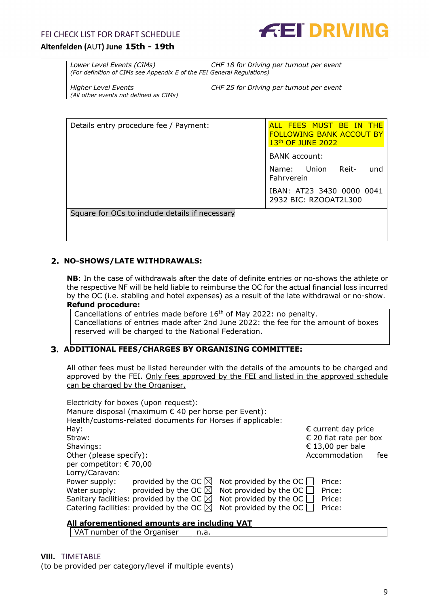

*Lower Level Events (CIMs) CHF 18 for Driving per turnout per event (For definition of CIMs see Appendix E of the FEI General Regulations)*

*(All other events not defined as CIMs)*

*Higher Level Events CHF 25 for Driving per turnout per event*

| Details entry procedure fee / Payment:         | ALL FEES MUST BE IN THE<br><b>FOLLOWING BANK ACCOUT BY</b><br>13 <sup>th</sup> OF JUNE 2022 |  |  |
|------------------------------------------------|---------------------------------------------------------------------------------------------|--|--|
|                                                | <b>BANK</b> account:                                                                        |  |  |
|                                                | Name: Union Reit-<br>und<br>Fahrverein                                                      |  |  |
|                                                | IBAN: AT23 3430 0000 0041<br>2932 BIC: RZOOAT2L300                                          |  |  |
| Square for OCs to include details if necessary |                                                                                             |  |  |
|                                                |                                                                                             |  |  |

#### <span id="page-8-0"></span>**NO-SHOWS/LATE WITHDRAWALS:**

**NB**: In the case of withdrawals after the date of definite entries or no-shows the athlete or the respective NF will be held liable to reimburse the OC for the actual financial loss incurred by the OC (i.e. stabling and hotel expenses) as a result of the late withdrawal or no-show. **Refund procedure:**

Cancellations of entries made before 16<sup>th</sup> of May 2022: no penalty. Cancellations of entries made after 2nd June 2022: the fee for the amount of boxes reserved will be charged to the National Federation.

#### <span id="page-8-1"></span>**ADDITIONAL FEES/CHARGES BY ORGANISING COMMITTEE:**

All other fees must be listed hereunder with the details of the amounts to be charged and approved by the FEI. Only fees approved by the FEI and listed in the approved schedule can be charged by the Organiser.

| Electricity for boxes (upon request):                      |                                         |
|------------------------------------------------------------|-----------------------------------------|
| Manure disposal (maximum € 40 per horse per Event):        |                                         |
| Health/customs-related documents for Horses if applicable: |                                         |
| Hay:                                                       | $\epsilon$ current day price            |
| Straw:                                                     | € 20 flat rate per box                  |
| Shavings:                                                  | € 13,00 per bale                        |
| Other (please specify):                                    | Accommodation<br>fee                    |
| per competitor: € 70,00                                    |                                         |
| Lorry/Caravan:                                             |                                         |
| Power supply:<br>provided by the OC $\boxtimes$            | Not provided by the OC $\Box$<br>Price: |
| provided by the OC $\boxtimes$<br>Water supply:            | Not provided by the OC $\Box$<br>Price: |
| Sanitary facilities: provided by the OC $\boxtimes$        | Not provided by the OC $\Box$<br>Price: |
| Catering facilities: provided by the OC $\boxtimes$        | Not provided by the OC $\Box$<br>Price: |

#### **All aforementioned amounts are including VAT**

<span id="page-8-2"></span>VAT number of the Organiser  $\vert$  n.a.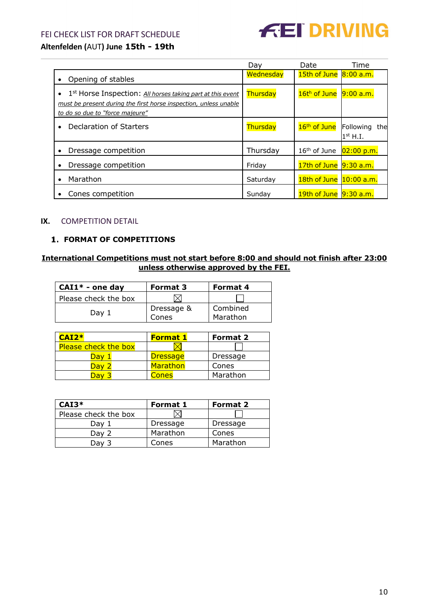## FEI CHECK LIST FOR DRAFT SCHEDULE



## **Altenfelden (**AUT**) June 15th - 19th**

|                                                                                                                                                                                            | Dav       | Date                        | Time                           |
|--------------------------------------------------------------------------------------------------------------------------------------------------------------------------------------------|-----------|-----------------------------|--------------------------------|
| Opening of stables                                                                                                                                                                         | Wednesday | $15$ th of June $8:00$ a.m. |                                |
| 1 <sup>st</sup> Horse Inspection: All horses taking part at this event<br>$\bullet$<br>must be present during the first horse inspection, unless unable<br>to do so due to "force majeure" | Thursday  | 16th of June                | $9:00$ a.m.                    |
| Declaration of Starters<br>$\bullet$                                                                                                                                                       | Thursday  | 16 <sup>th</sup> of June    | Following<br>the<br>$1st$ H.I. |
| Dressage competition<br>٠                                                                                                                                                                  | Thursday  | $16th$ of June              | $02:00$ p.m.                   |
| Dressage competition<br>$\bullet$                                                                                                                                                          | Friday    | $17th$ of June $9:30$ a.m.  |                                |
| Marathon<br>$\bullet$                                                                                                                                                                      | Saturday  | 18th of June 10:00 a.m.     |                                |
| Cones competition                                                                                                                                                                          | Sunday    | 19th of June 9:30 a.m.      |                                |

#### <span id="page-9-0"></span>**IX.** COMPETITION DETAIL

## <span id="page-9-1"></span>**FORMAT OF COMPETITIONS**

## **International Competitions must not start before 8:00 and should not finish after 23:00 unless otherwise approved by the FEI.**

| $CAI1* - one day$    | <b>Format 3</b>     | Format 4             |
|----------------------|---------------------|----------------------|
| Please check the box |                     |                      |
| Day 1                | Dressage &<br>Cones | Combined<br>Marathon |

| $CAI2*$                     | <b>Format 1</b> | <b>Format 2</b> |
|-----------------------------|-----------------|-----------------|
| <b>Please check the box</b> |                 |                 |
| )av                         | <b>Dressage</b> | Dressage        |
| Dav 2                       | <b>Marathon</b> | Cones           |
|                             | Cones           | Marathon        |

| $CAI3*$              | Format 1 | <b>Format 2</b> |
|----------------------|----------|-----------------|
| Please check the box |          |                 |
| Dav 1                | Dressage | Dressage        |
| Dav 2                | Marathon | Cones           |
| Dav 3                | Cones    | Marathon        |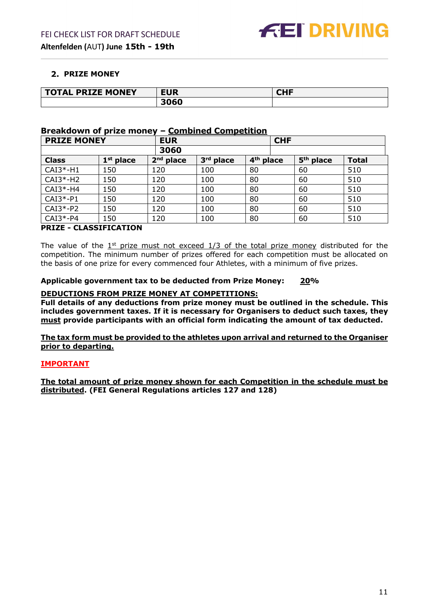## <span id="page-10-0"></span>**2. PRIZE MONEY**

| <b>L PRIZE MONEY</b><br><b>TOTAL</b> | <b>EUR</b> | 81 I F<br>чπг |
|--------------------------------------|------------|---------------|
|                                      |            |               |

#### **Breakdown of prize money – Combined Competition**

| <b>PRIZE MONEY</b> |             | <b>EUR</b>  |           | <b>CHF</b>            |                       |              |
|--------------------|-------------|-------------|-----------|-----------------------|-----------------------|--------------|
|                    |             | 3060        |           |                       |                       |              |
| <b>Class</b>       | $1st$ place | $2nd$ place | 3rd place | 4 <sup>th</sup> place | 5 <sup>th</sup> place | <b>Total</b> |
| $CAI3*-H1$         | 150         | 120         | 100       | 80                    | 60                    | 510          |
| $CAI3*-H2$         | 150         | 120         | 100       | 80                    | 60                    | 510          |
| $CAI3*-H4$         | 150         | 120         | 100       | 80                    | 60                    | 510          |
| $CAI3*-P1$         | 150         | 120         | 100       | 80                    | 60                    | 510          |
| $CAI3*-P2$         | 150         | 120         | 100       | 80                    | 60                    | 510          |
| $CAI3*-P4$         | 150         | 120         | 100       | 80                    | 60                    | 510          |

### **PRIZE - CLASSIFICATION**

The value of the  $1<sup>st</sup>$  prize must not exceed  $1/3$  of the total prize money distributed for the competition. The minimum number of prizes offered for each competition must be allocated on the basis of one prize for every commenced four Athletes, with a minimum of five prizes.

#### **Applicable government tax to be deducted from Prize Money: 20%**

#### **DEDUCTIONS FROM PRIZE MONEY AT COMPETITIONS:**

**Full details of any deductions from prize money must be outlined in the schedule. This includes government taxes. If it is necessary for Organisers to deduct such taxes, they must provide participants with an official form indicating the amount of tax deducted.** 

**The tax form must be provided to the athletes upon arrival and returned to the Organiser prior to departing.**

## **IMPORTANT**

**The total amount of prize money shown for each Competition in the schedule must be distributed. (FEI General Regulations articles 127 and 128)**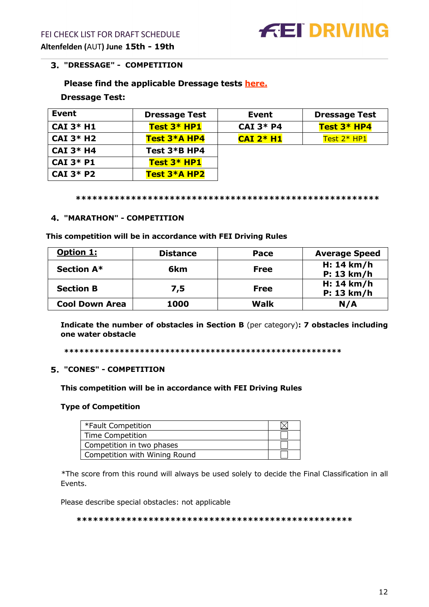## <span id="page-11-0"></span>**"DRESSAGE" - COMPETITION**

## **Please find the applicable Dressage tests [here.](https://inside.fei.org/fei/your-role/organisers/driving/dressage-tests)**

#### **Dressage Test:**

| Event                   | <b>Dressage Test</b> | Event           | <b>Dressage Test</b> |
|-------------------------|----------------------|-----------------|----------------------|
| $CAI$ 3* H1             | Test $3*$ HP1        | $CAI$ 3* P4     | Test $3*$ HP4        |
| $CAI$ 3* H <sub>2</sub> | Test 3*A HP4         | $CAI$ $2*$ $H1$ | Test $2*$ HP1        |
| <b>CAI 3* H4</b>        | Test 3*B HP4         |                 |                      |
| <b>CAI 3* P1</b>        | Test $3*$ HP1        |                 |                      |
| $CAI$ 3* P2             | Test 3*A HP2         |                 |                      |

**\*\*\*\*\*\*\*\*\*\*\*\*\*\*\*\*\*\*\*\*\*\*\*\*\*\*\*\*\*\*\*\*\*\*\*\*\*\*\*\*\*\*\*\*\*\*\*\*\*\*\*\*\*\*\***

#### <span id="page-11-1"></span>**"MARATHON" - COMPETITION**

#### **This competition will be in accordance with FEI Driving Rules**

| <b>Option 1:</b>      | <b>Distance</b> | Pace        | <b>Average Speed</b>     |
|-----------------------|-----------------|-------------|--------------------------|
| <b>Section A*</b>     | 6km             | Free        | H: 14 km/h<br>P: 13 km/h |
| <b>Section B</b>      | 7,5             | <b>Free</b> | H: 14 km/h<br>P: 13 km/h |
| <b>Cool Down Area</b> | 1000            | <b>Walk</b> | N/A                      |

**Indicate the number of obstacles in Section B** (per category)**: 7 obstacles including one water obstacle**

**\*\*\*\*\*\*\*\*\*\*\*\*\*\*\*\*\*\*\*\*\*\*\*\*\*\*\*\*\*\*\*\*\*\*\*\*\*\*\*\*\*\*\*\*\*\*\*\*\*\*\*\*\*\*\***

#### <span id="page-11-2"></span>**"CONES" - COMPETITION**

#### **This competition will be in accordance with FEI Driving Rules**

#### **Type of Competition**

| *Fault Competition            |  |
|-------------------------------|--|
| Time Competition              |  |
| Competition in two phases     |  |
| Competition with Wining Round |  |

\*The score from this round will always be used solely to decide the Final Classification in all Events.

Please describe special obstacles: not applicable

#### **\*\*\*\*\*\*\*\*\*\*\*\*\*\*\*\*\*\*\*\*\*\*\*\*\*\*\*\*\*\*\*\*\*\*\*\*\*\*\*\*\*\*\*\*\*\*\*\*\*\***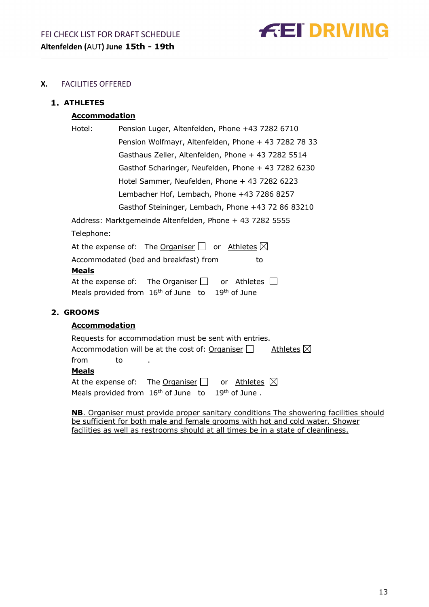

## <span id="page-12-0"></span>**X.** FACILITIES OFFERED

## <span id="page-12-1"></span>**ATHLETES**

## **Accommodation**

| Hotel:     | Pension Luger, Altenfelden, Phone +43 7282 6710                 |
|------------|-----------------------------------------------------------------|
|            | Pension Wolfmayr, Altenfelden, Phone + 43 7282 78 33            |
|            | Gasthaus Zeller, Altenfelden, Phone + 43 7282 5514              |
|            | Gasthof Scharinger, Neufelden, Phone + 43 7282 6230             |
|            | Hotel Sammer, Neufelden, Phone + 43 7282 6223                   |
|            | Lembacher Hof, Lembach, Phone +43 7286 8257                     |
|            | Gasthof Steininger, Lembach, Phone +43 72 86 83210              |
|            | Address: Marktgemeinde Altenfelden, Phone + 43 7282 5555        |
| Telephone: |                                                                 |
|            | At the expense of: The Organiser $\Box$ or Athletes $\boxtimes$ |

Accommodated (bed and breakfast) from to **Meals** At the expense of: The Organiser  $\Box$  or Athletes  $\Box$ Meals provided from  $16<sup>th</sup>$  of June to  $19<sup>th</sup>$  of June

## <span id="page-12-2"></span>**GROOMS**

## **Accommodation**

| Requests for accommodation must be sent with entries.                       |  |  |  |
|-----------------------------------------------------------------------------|--|--|--|
| Accommodation will be at the cost of: Organiser $\Box$ Athletes $\boxtimes$ |  |  |  |
| from<br>. to                                                                |  |  |  |
| <b>Meals</b>                                                                |  |  |  |
| At the expense of: The Organiser $\Box$ or Athletes $\boxtimes$             |  |  |  |
| Meals provided from $16th$ of June to $19th$ of June.                       |  |  |  |

**NB**. Organiser must provide proper sanitary conditions The showering facilities should be sufficient for both male and female grooms with hot and cold water. Shower facilities as well as restrooms should at all times be in a state of cleanliness.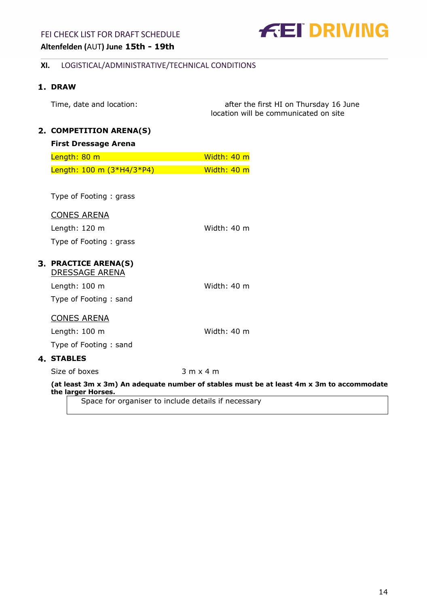## FEI CHECK LIST FOR DRAFT SCHEDULE



## **Altenfelden (**AUT**) June 15th - 19th**

### <span id="page-13-0"></span>**XI.** LOGISTICAL/ADMINISTRATIVE/TECHNICAL CONDITIONS

## <span id="page-13-1"></span>1. DRAW

<span id="page-13-2"></span> $2.$ 

| Time, date and location:    | after the first HI on Thursday 16 June<br>location will be communicated on site |
|-----------------------------|---------------------------------------------------------------------------------|
| <b>COMPETITION ARENA(S)</b> |                                                                                 |
| <b>First Dressage Arena</b> |                                                                                 |
| Length: 80 m                | Width: 40 m                                                                     |

| Length: 100 m (3*H4/3*P4) | Width: 40 m |
|---------------------------|-------------|
|                           |             |

Type of Footing : grass

#### CONES ARENA

Length: 120 m Width: 40 m Type of Footing : grass

# <span id="page-13-3"></span>**PRACTICE ARENA(S)**

DRESSAGE ARENA

Length: 100 m Width: 40 m Type of Footing : sand

## CONES ARENA

Length: 100 m Width: 40 m

Type of Footing : sand

## <span id="page-13-4"></span>**STABLES**

Size of boxes 3 m x 4 m

**(at least 3m x 3m) An adequate number of stables must be at least 4m x 3m to accommodate the larger Horses.**

Space for organiser to include details if necessary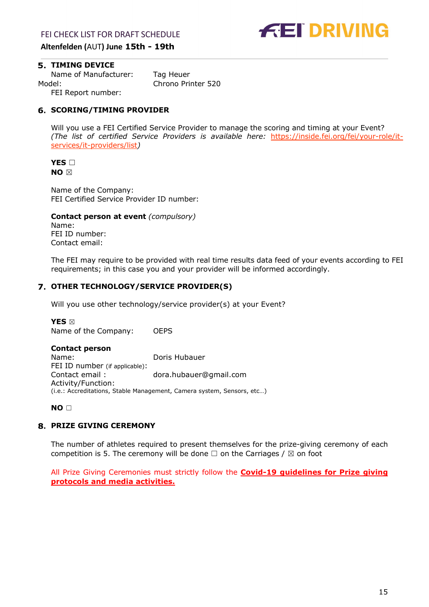

## <span id="page-14-0"></span>**5. TIMING DEVICE**

Name of Manufacturer: Tag Heuer Model: Chrono Printer 520 FEI Report number:

<span id="page-14-1"></span>**SCORING/TIMING PROVIDER**

Will you use a FEI Certified Service Provider to manage the scoring and timing at your Event? *(The list of certified Service Providers is available here:* [https://inside.fei.org/fei/your-role/it](https://inside.fei.org/fei/your-role/it-services/it-providers/list)[services/it-providers/list](https://inside.fei.org/fei/your-role/it-services/it-providers/list)*)*

#### **YES** □ **NO** ☒

Name of the Company: FEI Certified Service Provider ID number:

**Contact person at event** *(compulsory)* Name: FEI ID number: Contact email:

The FEI may require to be provided with real time results data feed of your events according to FEI requirements; in this case you and your provider will be informed accordingly.

## **OTHER TECHNOLOGY/SERVICE PROVIDER(S)**

Will you use other technology/service provider(s) at your Event?

**YES** ☒ Name of the Company: OEPS

## **Contact person**

Name: Doris Hubauer FEI ID number (if applicable):<br>Contact email: dora.hubauer@gmail.com Activity/Function: (i.e.: Accreditations, Stable Management, Camera system, Sensors, etc…)

**NO** ☐

## <span id="page-14-2"></span>**PRIZE GIVING CEREMONY**

The number of athletes required to present themselves for the prize-giving ceremony of each competition is 5. The ceremony will be done  $\Box$  on the Carriages /  $\boxtimes$  on foot

All Prize Giving Ceremonies must strictly follow the **[Covid-19 guidelines for Prize giving](https://inside.fei.org/fei/covid-19/return-to-play/policy-tools)  [protocols and media activities.](https://inside.fei.org/fei/covid-19/return-to-play/policy-tools)**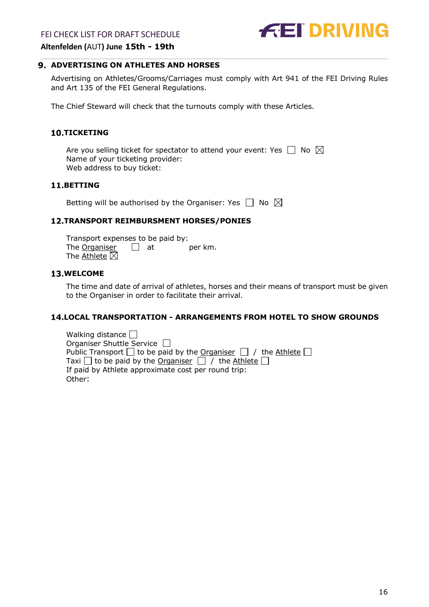## FEI CHECK LIST FOR DRAFT SCHEDULE



**Altenfelden (**AUT**) June 15th - 19th**

#### <span id="page-15-0"></span>**ADVERTISING ON ATHLETES AND HORSES**

Advertising on Athletes/Grooms/Carriages must comply with Art 941 of the FEI Driving Rules and Art 135 of the FEI General Regulations.

The Chief Steward will check that the turnouts comply with these Articles.

#### <span id="page-15-1"></span>**10.TICKETING**

Are you selling ticket for spectator to attend your event: Yes  $\Box$  No  $\boxtimes$ Name of your ticketing provider: Web address to buy ticket:

## <span id="page-15-2"></span>**BETTING**

Betting will be authorised by the Organiser: Yes  $\Box$  No  $\boxtimes$ 

#### <span id="page-15-3"></span>**TRANSPORT REIMBURSMENT HORSES/PONIES**

Transport expenses to be paid by: The  $O$ rganiser  $\Box$  at per km. The  $A$ thlete  $\boxtimes$ 

### <span id="page-15-4"></span>**13.WELCOME**

The time and date of arrival of athletes, horses and their means of transport must be given to the Organiser in order to facilitate their arrival.

#### <span id="page-15-5"></span>**LOCAL TRANSPORTATION - ARRANGEMENTS FROM HOTEL TO SHOW GROUNDS**

Walking distance  $\square$ Organiser Shuttle Service Public Transport  $\Box$  to be paid by the Organiser  $\Box$  / the Athlete  $\Box$ Taxi  $\Box$  to be paid by the Organiser  $\Box$  / the Athlete  $\Box$ If paid by Athlete approximate cost per round trip: Other: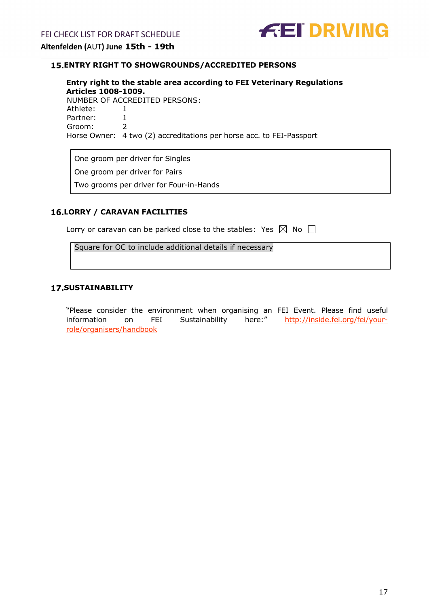

## <span id="page-16-0"></span>**ENTRY RIGHT TO SHOWGROUNDS/ACCREDITED PERSONS**

**Entry right to the stable area according to FEI Veterinary Regulations Articles 1008-1009.**  NUMBER OF ACCREDITED PERSONS: Athlete: 1<br>Partner: 1 Partner: 1<br>Groom: 2 Groom: 2 Horse Owner: 4 two (2) accreditations per horse acc. to FEI-Passport

One groom per driver for Singles

One groom per driver for Pairs

Two grooms per driver for Four-in-Hands

### <span id="page-16-1"></span>**LORRY / CARAVAN FACILITIES**

| Lorry or caravan can be parked close to the stables: Yes $\boxtimes$ No $\Box$ |  |  |  |  |
|--------------------------------------------------------------------------------|--|--|--|--|
|--------------------------------------------------------------------------------|--|--|--|--|

Square for OC to include additional details if necessary

#### <span id="page-16-2"></span>**SUSTAINABILITY**

"Please consider the environment when organising an FEI Event. Please find useful information on FEI Sustainability here:" [http://inside.fei.org/fei/your](http://inside.fei.org/fei/your-role/organisers/handbook)[role/organisers/handbook](http://inside.fei.org/fei/your-role/organisers/handbook)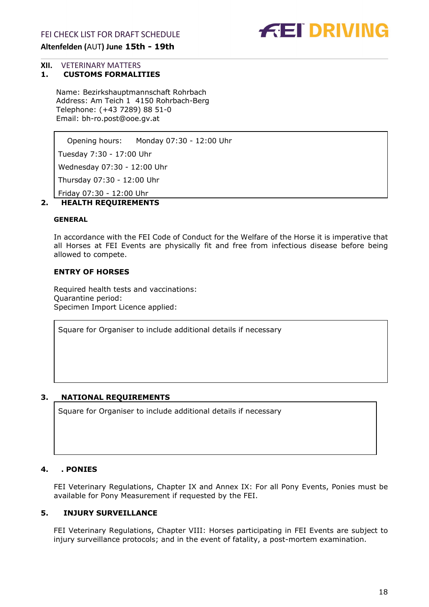

# <span id="page-17-0"></span>**XII.** VETERINARY MATTERS<br>**1. CUSTOMS FORMALI**

#### **1. CUSTOMS FORMALITIES**

<span id="page-17-1"></span>Name: Bezirkshauptmannschaft Rohrbach Address: Am Teich 1 4150 Rohrbach-Berg Telephone: (+43 7289) 88 51-0 Email: bh-ro.post@ooe.gv.at

Opening hours: Monday 07:30 - 12:00 Uhr

Tuesday 7:30 - 17:00 Uhr

Wednesday 07:30 - 12:00 Uhr

Thursday 07:30 - 12:00 Uhr

Friday 07:30 - 12:00 Uhr

## <span id="page-17-2"></span>**2. HEALTH REQUIREMENTS**

#### **GENERAL**

In accordance with the FEI Code of Conduct for the Welfare of the Horse it is imperative that all Horses at FEI Events are physically fit and free from infectious disease before being allowed to compete.

## **ENTRY OF HORSES**

Required health tests and vaccinations: Quarantine period: Specimen Import Licence applied:

Square for Organiser to include additional details if necessary

## <span id="page-17-3"></span>**3. NATIONAL REQUIREMENTS**

Square for Organiser to include additional details if necessary

#### <span id="page-17-4"></span>**4. . PONIES**

FEI Veterinary Regulations, Chapter IX and Annex IX: For all Pony Events, Ponies must be available for Pony Measurement if requested by the FEI.

#### **5. INJURY SURVEILLANCE**

<span id="page-17-5"></span>FEI Veterinary Regulations, Chapter VIII: Horses participating in FEI Events are subject to injury surveillance protocols; and in the event of fatality, a post-mortem examination.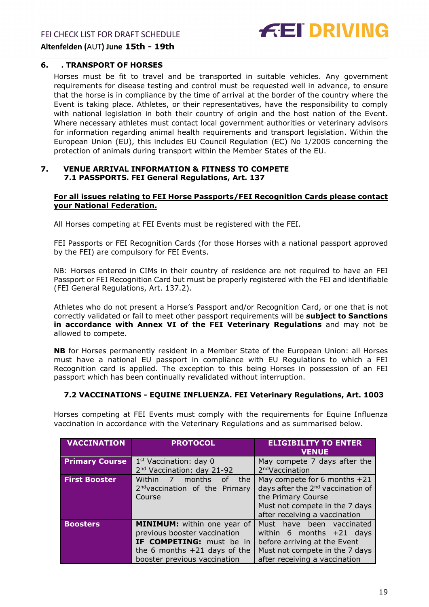FEI CHECK LIST FOR DRAFT SCHEDULE





#### <span id="page-18-0"></span>**6. . TRANSPORT OF HORSES**

Horses must be fit to travel and be transported in suitable vehicles. Any government requirements for disease testing and control must be requested well in advance, to ensure that the horse is in compliance by the time of arrival at the border of the country where the Event is taking place. Athletes, or their representatives, have the responsibility to comply with national legislation in both their country of origin and the host nation of the Event. Where necessary athletes must contact local government authorities or veterinary advisors for information regarding animal health requirements and transport legislation. Within the European Union (EU), this includes EU Council Regulation (EC) No 1/2005 concerning the protection of animals during transport within the Member States of the EU.

#### <span id="page-18-1"></span>**7. VENUE ARRIVAL INFORMATION & FITNESS TO COMPETE 7.1 PASSPORTS. FEI General Regulations, Art. 137**

#### **For all issues relating to FEI Horse Passports/FEI Recognition Cards please contact your National Federation.**

All Horses competing at FEI Events must be registered with the FEI.

FEI Passports or FEI Recognition Cards (for those Horses with a national passport approved by the FEI) are compulsory for FEI Events.

NB: Horses entered in CIMs in their country of residence are not required to have an FEI Passport or FEI Recognition Card but must be properly registered with the FEI and identifiable (FEI General Regulations, Art. 137.2).

Athletes who do not present a Horse's Passport and/or Recognition Card, or one that is not correctly validated or fail to meet other passport requirements will be **subject to Sanctions in accordance with Annex VI of the FEI Veterinary Regulations** and may not be allowed to compete.

**NB** for Horses permanently resident in a Member State of the European Union: all Horses must have a national EU passport in compliance with EU Regulations to which a FEI Recognition card is applied. The exception to this being Horses in possession of an FEI passport which has been continually revalidated without interruption.

## **7.2 VACCINATIONS - EQUINE INFLUENZA. FEI Veterinary Regulations, Art. 1003**

Horses competing at FEI Events must comply with the requirements for Equine Influenza vaccination in accordance with the Veterinary Regulations and as summarised below.

| <b>VACCINATION</b>    | <b>PROTOCOL</b>                                                                                                                                           | <b>ELIGIBILITY TO ENTER</b><br><b>VENUE</b>                                                                                                                              |
|-----------------------|-----------------------------------------------------------------------------------------------------------------------------------------------------------|--------------------------------------------------------------------------------------------------------------------------------------------------------------------------|
| <b>Primary Course</b> | $1st$ Vaccination: day 0<br>2 <sup>nd</sup> Vaccination: day 21-92                                                                                        | May compete 7 days after the<br>2 <sup>nd</sup> Vaccination                                                                                                              |
| <b>First Booster</b>  | Within 7<br>months<br>the<br>οf<br>2 <sup>nd</sup> vaccination of the Primary<br>Course                                                                   | May compete for 6 months $+21$<br>days after the 2 <sup>nd</sup> vaccination of<br>the Primary Course<br>Must not compete in the 7 days<br>after receiving a vaccination |
| <b>Boosters</b>       | MINIMUM: within one year of<br>previous booster vaccination<br>IF COMPETING: must be in<br>the 6 months $+21$ days of the<br>booster previous vaccination | Must have been vaccinated<br>within 6 months $+21$ days<br>before arriving at the Event<br>Must not compete in the 7 days<br>after receiving a vaccination               |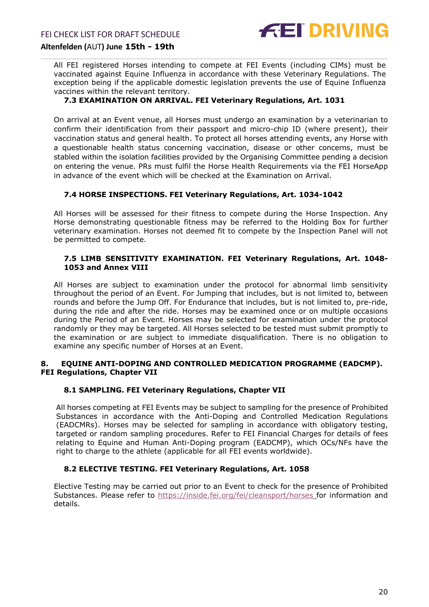

All FEI registered Horses intending to compete at FEI Events (including CIMs) must be vaccinated against Equine Influenza in accordance with these Veterinary Regulations. The exception being if the applicable domestic legislation prevents the use of Equine Influenza vaccines within the relevant territory.

#### **7.3 EXAMINATION ON ARRIVAL. FEI Veterinary Regulations, Art. 1031**

On arrival at an Event venue, all Horses must undergo an examination by a veterinarian to confirm their identification from their passport and micro-chip ID (where present), their vaccination status and general health. To protect all horses attending events, any Horse with a questionable health status concerning vaccination, disease or other concerns, must be stabled within the isolation facilities provided by the Organising Committee pending a decision on entering the venue. PRs must fulfil the Horse Health Requirements via the FEI HorseApp in advance of the event which will be checked at the Examination on Arrival.

#### **7.4 HORSE INSPECTIONS. FEI Veterinary Regulations, Art. 1034-1042**

All Horses will be assessed for their fitness to compete during the Horse Inspection. Any Horse demonstrating questionable fitness may be referred to the Holding Box for further veterinary examination. Horses not deemed fit to compete by the Inspection Panel will not be permitted to compete.

#### **7.5 LIMB SENSITIVITY EXAMINATION. FEI Veterinary Regulations, Art. 1048- 1053 and Annex VIII**

All Horses are subject to examination under the protocol for abnormal limb sensitivity throughout the period of an Event. For Jumping that includes, but is not limited to, between rounds and before the Jump Off. For Endurance that includes, but is not limited to, pre-ride, during the ride and after the ride. Horses may be examined once or on multiple occasions during the Period of an Event. Horses may be selected for examination under the protocol randomly or they may be targeted. All Horses selected to be tested must submit promptly to the examination or are subject to immediate disqualification. There is no obligation to examine any specific number of Horses at an Event.

#### <span id="page-19-0"></span>**8. EQUINE ANTI-DOPING AND CONTROLLED MEDICATION PROGRAMME (EADCMP). FEI Regulations, Chapter VII**

#### **8.1 SAMPLING. FEI Veterinary Regulations, Chapter VII**

All horses competing at FEI Events may be subject to sampling for the presence of Prohibited Substances in accordance with the Anti-Doping and Controlled Medication Regulations (EADCMRs). Horses may be selected for sampling in accordance with obligatory testing, targeted or random sampling procedures. Refer to FEI Financial Charges for details of fees relating to Equine and Human Anti-Doping program (EADCMP), which OCs/NFs have the right to charge to the athlete (applicable for all FEI events worldwide).

#### **8.2 ELECTIVE TESTING. FEI Veterinary Regulations, Art. 1058**

Elective Testing may be carried out prior to an Event to check for the presence of Prohibited Substances. Please refer to <https://inside.fei.org/fei/cleansport/horses> for information and details.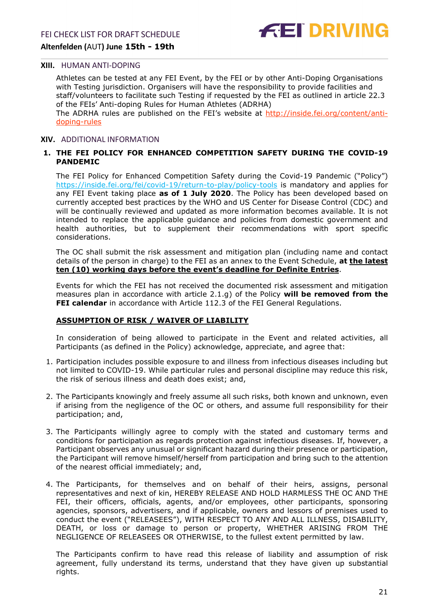#### <span id="page-20-0"></span>**XIII.** HUMAN ANTI-DOPING

Athletes can be tested at any FEI Event, by the FEI or by other Anti-Doping Organisations with Testing jurisdiction. Organisers will have the responsibility to provide facilities and staff/volunteers to facilitate such Testing if requested by the FEI as outlined in article 22.3 of the FEIs' Anti-doping Rules for Human Athletes (ADRHA)

The ADRHA rules are published on the FEI's website at [http://inside.fei.org/content/anti](http://inside.fei.org/content/anti-doping-rules)[doping-rules](http://inside.fei.org/content/anti-doping-rules)

#### <span id="page-20-1"></span>**XIV.** ADDITIONAL INFORMATION

#### <span id="page-20-2"></span>**1. THE FEI POLICY FOR ENHANCED COMPETITION SAFETY DURING THE COVID-19 PANDEMIC**

The FEI Policy for Enhanced Competition Safety during the Covid-19 Pandemic ("Policy") <https://inside.fei.org/fei/covid-19/return-to-play/policy-tools> is mandatory and applies for any FEI Event taking place **as of 1 July 2020**. The Policy has been developed based on currently accepted best practices by the WHO and US Center for Disease Control (CDC) and will be continually reviewed and updated as more information becomes available. It is not intended to replace the applicable guidance and policies from domestic government and health authorities, but to supplement their recommendations with sport specific considerations.

The OC shall submit the risk assessment and mitigation plan (including name and contact details of the person in charge) to the FEI as an annex to the Event Schedule, **at the latest ten (10) working days before the event's deadline for Definite Entries**.

Events for which the FEI has not received the documented risk assessment and mitigation measures plan in accordance with article 2.1.g) of the Policy **will be removed from the FEI calendar** in accordance with Article 112.3 of the FEI General Regulations.

#### **ASSUMPTION OF RISK / WAIVER OF LIABILITY**

In consideration of being allowed to participate in the Event and related activities, all Participants (as defined in the Policy) acknowledge, appreciate, and agree that:

- 1. Participation includes possible exposure to and illness from infectious diseases including but not limited to COVID-19. While particular rules and personal discipline may reduce this risk, the risk of serious illness and death does exist; and,
- 2. The Participants knowingly and freely assume all such risks, both known and unknown, even if arising from the negligence of the OC or others, and assume full responsibility for their participation; and,
- 3. The Participants willingly agree to comply with the stated and customary terms and conditions for participation as regards protection against infectious diseases. If, however, a Participant observes any unusual or significant hazard during their presence or participation, the Participant will remove himself/herself from participation and bring such to the attention of the nearest official immediately; and,
- 4. The Participants, for themselves and on behalf of their heirs, assigns, personal representatives and next of kin, HEREBY RELEASE AND HOLD HARMLESS THE OC AND THE FEI, their officers, officials, agents, and/or employees, other participants, sponsoring agencies, sponsors, advertisers, and if applicable, owners and lessors of premises used to conduct the event ("RELEASEES"), WITH RESPECT TO ANY AND ALL ILLNESS, DISABILITY, DEATH, or loss or damage to person or property, WHETHER ARISING FROM THE NEGLIGENCE OF RELEASEES OR OTHERWISE, to the fullest extent permitted by law.

The Participants confirm to have read this release of liability and assumption of risk agreement, fully understand its terms, understand that they have given up substantial rights.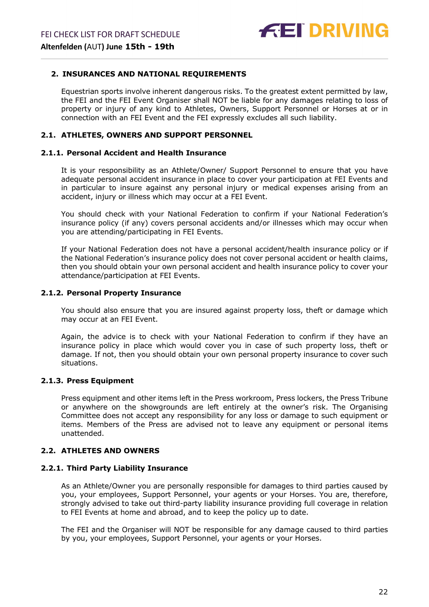## <span id="page-21-0"></span>**2. INSURANCES AND NATIONAL REQUIREMENTS**

Equestrian sports involve inherent dangerous risks. To the greatest extent permitted by law, the FEI and the FEI Event Organiser shall NOT be liable for any damages relating to loss of property or injury of any kind to Athletes, Owners, Support Personnel or Horses at or in connection with an FEI Event and the FEI expressly excludes all such liability.

## **2.1. ATHLETES, OWNERS AND SUPPORT PERSONNEL**

#### **2.1.1. Personal Accident and Health Insurance**

It is your responsibility as an Athlete/Owner/ Support Personnel to ensure that you have adequate personal accident insurance in place to cover your participation at FEI Events and in particular to insure against any personal injury or medical expenses arising from an accident, injury or illness which may occur at a FEI Event.

You should check with your National Federation to confirm if your National Federation's insurance policy (if any) covers personal accidents and/or illnesses which may occur when you are attending/participating in FEI Events.

If your National Federation does not have a personal accident/health insurance policy or if the National Federation's insurance policy does not cover personal accident or health claims, then you should obtain your own personal accident and health insurance policy to cover your attendance/participation at FEI Events.

#### **2.1.2. Personal Property Insurance**

You should also ensure that you are insured against property loss, theft or damage which may occur at an FEI Event.

Again, the advice is to check with your National Federation to confirm if they have an insurance policy in place which would cover you in case of such property loss, theft or damage. If not, then you should obtain your own personal property insurance to cover such situations.

#### **2.1.3. Press Equipment**

Press equipment and other items left in the Press workroom, Press lockers, the Press Tribune or anywhere on the showgrounds are left entirely at the owner's risk. The Organising Committee does not accept any responsibility for any loss or damage to such equipment or items. Members of the Press are advised not to leave any equipment or personal items unattended.

## **2.2. ATHLETES AND OWNERS**

#### **2.2.1. Third Party Liability Insurance**

As an Athlete/Owner you are personally responsible for damages to third parties caused by you, your employees, Support Personnel, your agents or your Horses. You are, therefore, strongly advised to take out third-party liability insurance providing full coverage in relation to FEI Events at home and abroad, and to keep the policy up to date.

The FEI and the Organiser will NOT be responsible for any damage caused to third parties by you, your employees, Support Personnel, your agents or your Horses.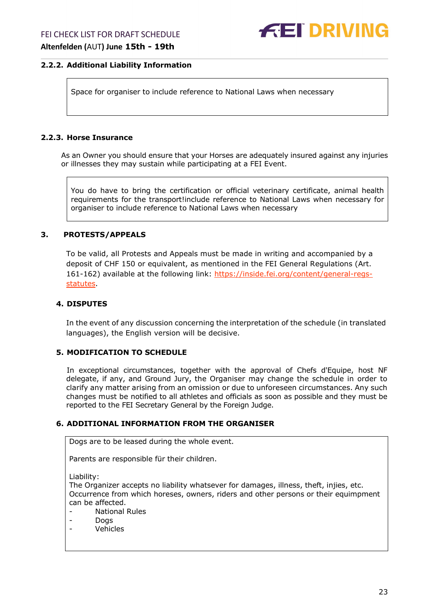### **2.2.2. Additional Liability Information**

Space for organiser to include reference to National Laws when necessary

### **2.2.3. Horse Insurance**

As an Owner you should ensure that your Horses are adequately insured against any injuries or illnesses they may sustain while participating at a FEI Event.

You do have to bring the certification or official veterinary certificate, animal health requirements for the transport!include reference to National Laws when necessary for organiser to include reference to National Laws when necessary

#### <span id="page-22-0"></span>**3. PROTESTS/APPEALS**

To be valid, all Protests and Appeals must be made in writing and accompanied by a deposit of CHF 150 or equivalent, as mentioned in the FEI General Regulations (Art. 161-162) available at the following link: [https://inside.fei.org/content/general-regs](https://inside.fei.org/content/general-regs-statutes)[statutes.](https://inside.fei.org/content/general-regs-statutes)

### <span id="page-22-1"></span>**4. DISPUTES**

In the event of any discussion concerning the interpretation of the schedule (in translated languages), the English version will be decisive.

## <span id="page-22-2"></span>**5. MODIFICATION TO SCHEDULE**

In exceptional circumstances, together with the approval of Chefs d'Equipe, host NF delegate, if any, and Ground Jury, the Organiser may change the schedule in order to clarify any matter arising from an omission or due to unforeseen circumstances. Any such changes must be notified to all athletes and officials as soon as possible and they must be reported to the FEI Secretary General by the Foreign Judge.

## <span id="page-22-3"></span>**6. ADDITIONAL INFORMATION FROM THE ORGANISER**

Dogs are to be leased during the whole event.

Parents are responsible für their children.

Liability:

The Organizer accepts no liability whatsever for damages, illness, theft, injies, etc. Occurrence from which horeses, owners, riders and other persons or their equimpment can be affected.

- National Rules

- Dogs

- Vehicles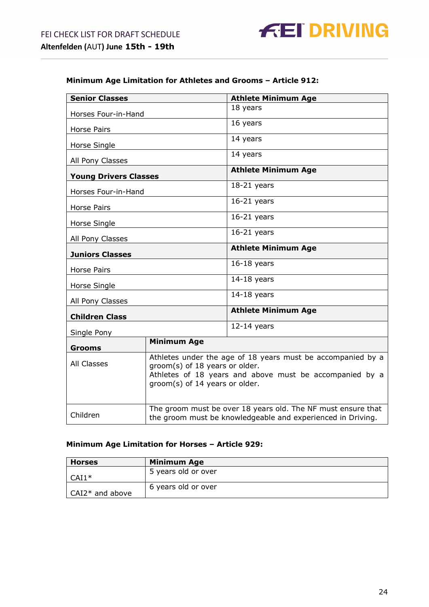## **Minimum Age Limitation for Athletes and Grooms – Article 912:**

| <b>Senior Classes</b>        |                                                                                                                                                                                            | <b>Athlete Minimum Age</b> |  |
|------------------------------|--------------------------------------------------------------------------------------------------------------------------------------------------------------------------------------------|----------------------------|--|
| Horses Four-in-Hand          |                                                                                                                                                                                            | 18 years                   |  |
|                              |                                                                                                                                                                                            | 16 years                   |  |
| <b>Horse Pairs</b>           |                                                                                                                                                                                            |                            |  |
| Horse Single                 |                                                                                                                                                                                            | 14 years                   |  |
| All Pony Classes             |                                                                                                                                                                                            | 14 years                   |  |
| <b>Young Drivers Classes</b> |                                                                                                                                                                                            | <b>Athlete Minimum Age</b> |  |
| Horses Four-in-Hand          |                                                                                                                                                                                            | $18-21$ years              |  |
| <b>Horse Pairs</b>           |                                                                                                                                                                                            | $16-21$ years              |  |
| Horse Single                 |                                                                                                                                                                                            | $16-21$ years              |  |
| All Pony Classes             |                                                                                                                                                                                            | $16-21$ years              |  |
| <b>Juniors Classes</b>       |                                                                                                                                                                                            | <b>Athlete Minimum Age</b> |  |
| <b>Horse Pairs</b>           |                                                                                                                                                                                            | $16-18$ years              |  |
| Horse Single                 |                                                                                                                                                                                            | $14-18$ years              |  |
| All Pony Classes             |                                                                                                                                                                                            | $14-18$ years              |  |
| <b>Children Class</b>        |                                                                                                                                                                                            | <b>Athlete Minimum Age</b> |  |
| Single Pony                  |                                                                                                                                                                                            | $12-14$ years              |  |
| <b>Grooms</b>                | <b>Minimum Age</b>                                                                                                                                                                         |                            |  |
| All Classes                  | Athletes under the age of 18 years must be accompanied by a<br>groom(s) of 18 years or older.<br>Athletes of 18 years and above must be accompanied by a<br>groom(s) of 14 years or older. |                            |  |
| Children                     | The groom must be over 18 years old. The NF must ensure that<br>the groom must be knowledgeable and experienced in Driving.                                                                |                            |  |

## **Minimum Age Limitation for Horses – Article 929:**

| <b>Horses</b>     | <b>Minimum Age</b>  |
|-------------------|---------------------|
| $CAI1*$           | 5 years old or over |
| $CAI2*$ and above | 6 years old or over |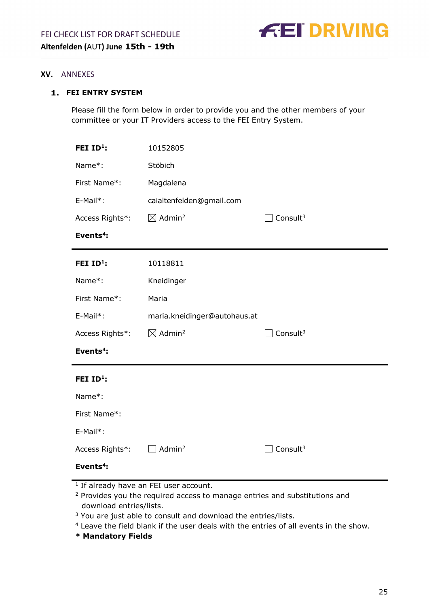

#### <span id="page-24-0"></span>**XV.** ANNEXES

## <span id="page-24-1"></span>**FEI ENTRY SYSTEM**

Please fill the form below in order to provide you and the other members of your committee or your IT Providers access to the FEI Entry System.

| FEI ID <sup>1</sup> : | 10152805                       |                      |
|-----------------------|--------------------------------|----------------------|
| Name*:                | Stöbich                        |                      |
| First Name*:          | Magdalena                      |                      |
| E-Mail*:              | caialtenfelden@gmail.com       |                      |
| Access Rights*:       | $\boxtimes$ Admin <sup>2</sup> | Consult <sup>3</sup> |
| Events <sup>4</sup> : |                                |                      |
| FEI ID <sup>1</sup> : | 10118811                       |                      |
| Name*:                | Kneidinger                     |                      |
| First Name*:          | Maria                          |                      |
| E-Mail*:              | maria.kneidinger@autohaus.at   |                      |
| Access Rights*:       | $\boxtimes$ Admin <sup>2</sup> | Consult <sup>3</sup> |
| Events <sup>4</sup> : |                                |                      |
| FEI ID <sup>1</sup> : |                                |                      |
| Name*:                |                                |                      |
| First Name*:          |                                |                      |
| E-Mail*:              |                                |                      |
| Access Rights*:       | Admin <sup>2</sup>             | Consult <sup>3</sup> |
| Events <sup>4</sup> : |                                |                      |

 $1$  If already have an FEI user account.

<sup>2</sup> Provides you the required access to manage entries and substitutions and download entries/lists.

<sup>3</sup> You are just able to consult and download the entries/lists.

<sup>4</sup> Leave the field blank if the user deals with the entries of all events in the show.

**\* Mandatory Fields**